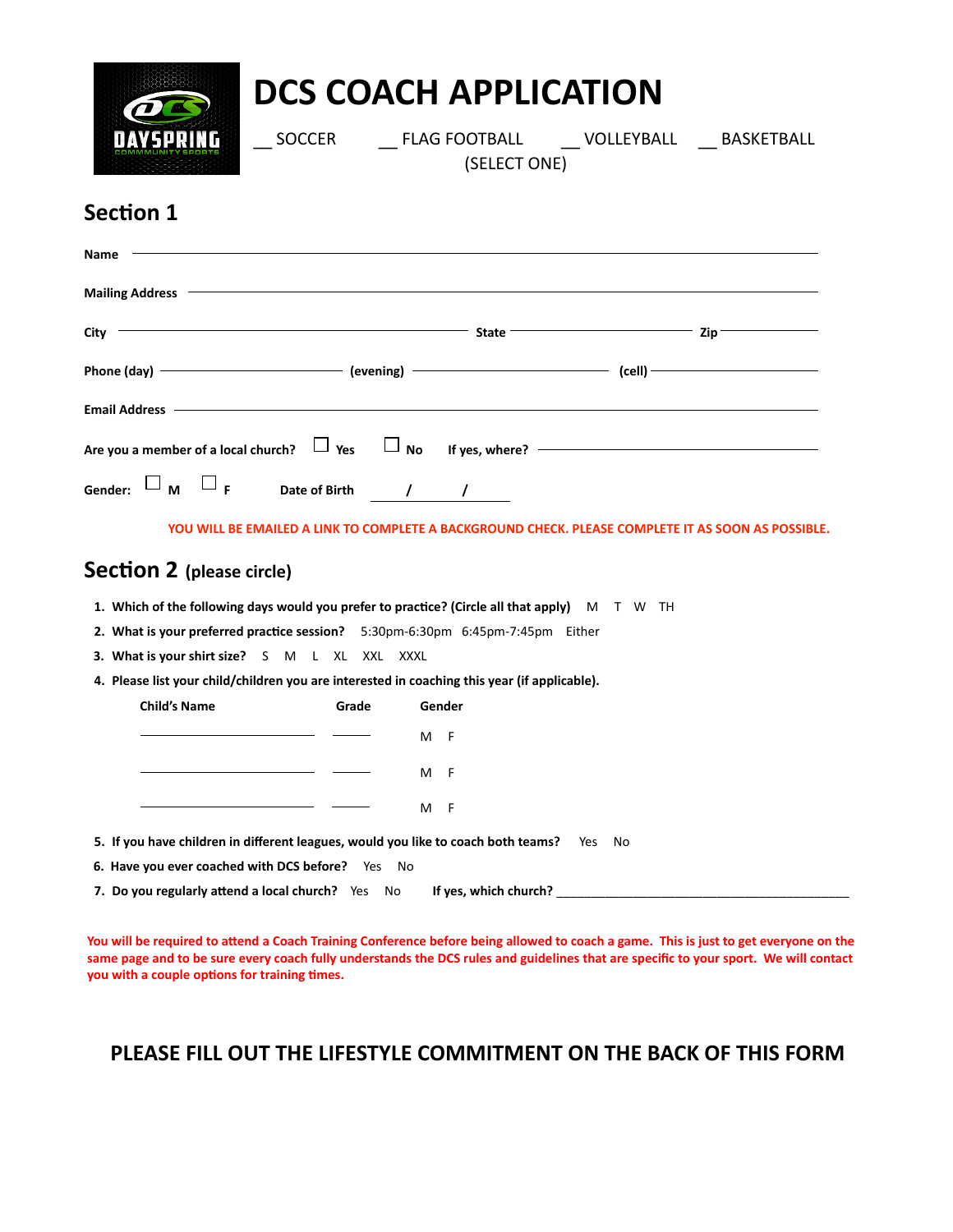

# **DCS COACH APPLICATION**

SOCCER FLAG FOOTBALL VOLLEYBALL BASKETBALL

(SELECT ONE)

### **Section 1**

| Name                                                                                                                                                                                                                           |                   |                             |                            |
|--------------------------------------------------------------------------------------------------------------------------------------------------------------------------------------------------------------------------------|-------------------|-----------------------------|----------------------------|
| <b>Mailing Address</b>                                                                                                                                                                                                         |                   |                             |                            |
| City                                                                                                                                                                                                                           |                   | <b>State</b>                | Zip                        |
| Phone (day)                                                                                                                                                                                                                    |                   | $(evening)$ $\qquad \qquad$ | $\left(\text{cell}\right)$ |
| Email Address – Contract Contract Contract Contract Contract Contract Contract Contract Contract Contract Contract Contract Contract Contract Contract Contract Contract Contract Contract Contract Contract Contract Contract |                   |                             |                            |
| Are you a member of a local church? $\Box$ Yes $\Box$ No If yes, where? $\Box$                                                                                                                                                 |                   |                             |                            |
| Gender: $\square_m \square_f$                                                                                                                                                                                                  | Date of Birth ( ) |                             |                            |

**YOU WILL BE EMAILED A LINK TO COMPLETE A BACKGROUND CHECK. PLEASE COMPLETE IT AS SOON AS POSSIBLE.**

#### **Section 2 (please circle)**

- **1. Which of the following days would you prefer to practice? (Circle all that apply)** M T W TH
- **2. What is your preferred practice session?** 5:30pm-6:30pm 6:45pm-7:45pm Either
- **3. What is your shirt size?** S M L XL XXL XXXL
- **4. Please list your child/children you are interested in coaching this year (if applicable).**

| <b>Child's Name</b> | Grade | Gender   |  |
|---------------------|-------|----------|--|
|                     |       | M F      |  |
|                     |       | M F      |  |
|                     |       | - F<br>м |  |

- **5. If you have children in different leagues, would you like to coach both teams?** Yes No
- **6. Have you ever coached with DCS before?** Yes No
- **7.** Do you regularly attend a local church? Yes No If yes, which church?

**You will be required to attend a Coach Training Conference before being allowed to coach a game. This is just to get everyone on the same page and to be sure every coach fully understands the DCS rules and guidelines that are specific to your sport. We will contact you with a couple options for training times.**

#### **PLEASE FILL OUT THE LIFESTYLE COMMITMENT ON THE BACK OF THIS FORM**